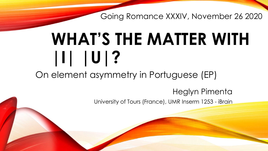Going Romance XXXIV, November 26 2020

# **WHAT'S THE MATTER WITH |I| |U|?**

On element asymmetry in Portuguese (EP)

Heglyn Pimenta University of Tours (France), UMR Inserm 1253 - iBrain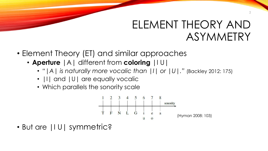#### ELEMENT THEORY AND ASYMMETRY

- Element Theory (ET) and similar approaches
	- **Aperture** |A| different from **coloring** |I U|
		- *"|A| is naturally more vocalic than |I| or |U|."* (Backley 2012: 175)
		- $\vert\vert\vert$  and  $\vert\vert\vert\vert\vert$  are equally vocalic
		- Which parallels the sonority scale



• But are |I U| symmetric?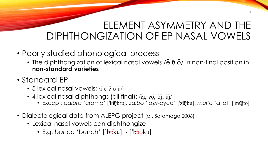#### ELEMENT ASYMMETRY AND THE DIPHTHONGIZATION OF EP NASAL VOWELS

- Poorly studied phonological process
	- The diphthongization of lexical nasal vowels / $\tilde{e}$   $\tilde{e}$   $\tilde{o}'$  in non-final position in **non-standard varieties**
- Standard EP
	- 5 lexical nasal vowels:  $\hbar$   $\tilde{e}$   $\tilde{v}$   $\tilde{u}$
	- 4 lexical nasal diphthongs (all final): / $\widetilde{v}$ ī,  $\widetilde{v}$ ī,  $\widetilde{v}$ ī, ū̃i/
		- Except: *cãibra* 'cramp' [ˈkɐ̃ɪ̯̃bɾɐ]*, zãibo* 'lazy-eyed' [ˈzɐ̃ɪ̯̃bu], *muito* 'a lot' [ˈmũɪ̯̃to]
- Dialectological data from ALEPG project (cf. Saramago 2006)
	- Lexical nasal vowels can diphthongize
		- E.g. banco 'bench' ['b $\tilde{e}$ ku] ~ ['b $\tilde{e}$ ğku]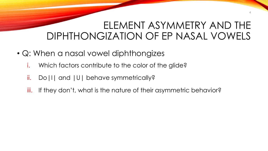#### ELEMENT ASYMMETRY AND THE DIPHTHONGIZATION OF EP NASAL VOWELS

- Q: When a nasal vowel diphthongizes
	- i. Which factors contribute to the color of the glide?
	- ii. Do|I| and |U| behave symmetrically?
	- iii. If they don't, what is the nature of their asymmetric behavior?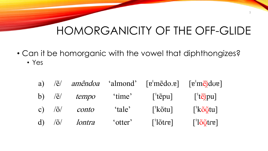5

• Can it be homorganic with the vowel that diphthongizes?

• Yes

| a) | $\widetilde{e}$                  | amêndoa |         | 'almond' [g'mẽdo.g]         | $\lceil \mathbf{e}^{\mathsf{T}} \mathbf{m} \widetilde{\mathbf{e}} \widetilde{\mathbf{n}} \mathrm{d} \mathbf{u} \mathbf{e} \rceil$ |
|----|----------------------------------|---------|---------|-----------------------------|-----------------------------------------------------------------------------------------------------------------------------------|
|    | b) $\frac{\tilde{e}}{\tilde{e}}$ | tempo   | 'time'  | $\lceil$ 'tẽpu]             | $\left[ \text{'}t\tilde{e}$ ipu]                                                                                                  |
|    | c) $\sqrt{6}/$                   | conto   | 'tale'  | $\lceil k\tilde{o}tu\rceil$ | $\int$ <sup>'</sup> kõ $\tilde{Q}$ tu]                                                                                            |
|    | $d)$ / $\tilde{o}$ /             | lontra  | 'otter' | $\lceil$ lõtre]             | $\left[ \frac{1}{2} \right]$                                                                                                      |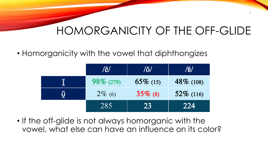6

• Homorganicity with the vowel that diphthongizes

|                          | $\mathcal{E}/\mathcal{E}$ | $ \eth $    | $\vert/\widetilde{E}\vert\vert$ |
|--------------------------|---------------------------|-------------|---------------------------------|
|                          | $98\%$ (279)              | $65\%$ (15) | $48\%$ (108)                    |
| $\boldsymbol{\tilde{Q}}$ | $2\%$ (6)                 | $35\%$ (8)  | $52\%$ (116)                    |
|                          | 285                       | 23          | 224                             |

• If the off-glide is not always homorganic with the vowel, what else can have an influence on its color?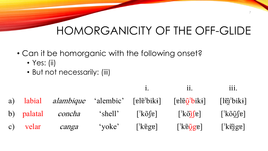- Can it be homorganic with the following onset?
	- Yes: (ii)
	- But not necessarily: (iii)

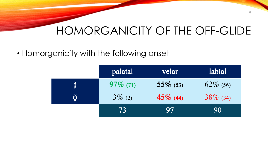• Homorganicity with the following onset

| palatal     | velar       | labial      |
|-------------|-------------|-------------|
| $97\%$ (71) | $55\%$ (53) | $62\%$ (56) |
| $3\%$ (2)   | $45\%$ (44) | $38\%$ (34) |
| 73          | 97          | 90          |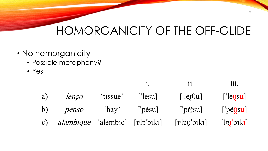- No homorganicity
	- Possible metaphony?
	- Yes

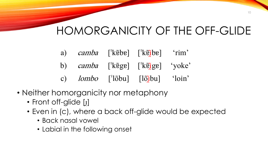- a) camba [ˈkɐ̃bɐ] [ˈkɐ̃ibɐ] 'rim'
- b) *camba* [<sup>'</sup>kɐ̃gɐ] [<sup>'</sup>kɐ̃[gɐ] 'yoke'
- c) *lombo* ['lõbu] [lõ**i**bu] 'loin'
- Neither homorganicity nor metaphony
	- Front off-glide [ɪ̯]
	- Even in (c), where a back off-glide would be expected
		- Back nasal vowel
		- Labial in the following onset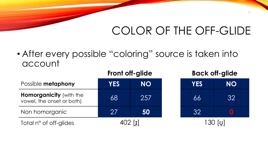#### COLOR OF THE OFF-GLIDE

• After every possible "coloring" source is taken into account

**Front off-glide Back off-glide**

|                                                             |            | <b>FIUIII UII-YIIUC</b> |  |            | <b>DUCK OII-GIIUE</b> |  |  |
|-------------------------------------------------------------|------------|-------------------------|--|------------|-----------------------|--|--|
| Possible metaphony                                          | <b>YES</b> | <b>NO</b>               |  | <b>YES</b> | <b>NO</b>             |  |  |
| <b>Homorganicity (with the</b><br>vowel, the onset or both) | 68         | 257                     |  | 66         | 32                    |  |  |
| Non homorganic                                              | 27         | 50                      |  | 32         |                       |  |  |
| Total n° of off-glides                                      |            |                         |  |            |                       |  |  |

| <b>YES</b>      | <b>NO</b>                |  |  |  |  |
|-----------------|--------------------------|--|--|--|--|
| 66              | $\overline{3}2$          |  |  |  |  |
| $\overline{32}$ | $\left( \bullet \right)$ |  |  |  |  |
| 1 OO L J        |                          |  |  |  |  |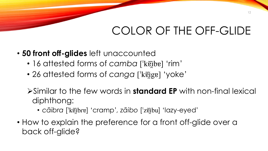#### COLOR OF THE OFF-GLIDE

- **50 front off-glides** left unaccounted
	- 16 attested forms of *camba* ['k $\tilde{p}$ ibe] 'rim'
	- 26 attested forms of *canga* ['kɐ̃i̯gɐ] 'yoke'
	- ➢Similar to the few words in **standard EP** with non-final lexical diphthong:
		- *cãibra* [ˈkɐ̃ɪ̯̃bɾɐ] 'cramp' *, zãibo* [ˈzɐ̃ɪ̯̃bu] 'lazy-eyed'
- How to explain the preference for a front off-glide over a back off-glide?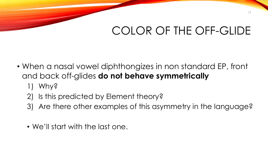#### COLOR OF THE OFF-GLIDE

- When a nasal vowel diphthongizes in non standard EP, front and back off-glides **do not behave symmetrically** 
	- 1) Why?
	- 2) Is this predicted by Element theory?
	- 3) Are there other examples of this asymmetry in the language?
	- We'll start with the last one.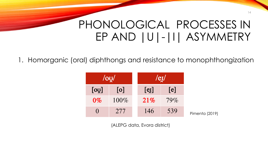1. Homorganic (oral) diphthongs and resistance to monophthongization

| $\log$ |             |  | $/e$ I $/$ |  |        |                |  |
|--------|-------------|--|------------|--|--------|----------------|--|
| [00]   | $\lceil$ 0] |  | $[e_{I}]$  |  | [e]    |                |  |
| $0\%$  | $100\%$     |  | 21%        |  | $79\%$ |                |  |
|        | 277         |  | 146        |  | 539    | Pimenta (2019) |  |

(ALEPG data, Evora district)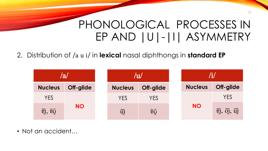#### 2. Distribution of /a u i/ in **lexical** nasal diphthongs in **standard EP**

| ${\bf a}$                                           |           | $/{\bf u}/$                     |           |  |                |                                                     |
|-----------------------------------------------------|-----------|---------------------------------|-----------|--|----------------|-----------------------------------------------------|
| <b>Nucleus</b>                                      | Off-glide | <b>Nucleus</b>                  | Off-glide |  | <b>Nucleus</b> | Off-glide                                           |
| <b>YES</b>                                          |           | <b>YES</b>                      | YES       |  | <b>NO</b>      | <b>YES</b>                                          |
| $\widetilde{\mathbf{g}}$ , $\widetilde{\mathbf{g}}$ | <b>NO</b> | $\widetilde{\phantom{m}}$<br>ui | ēõ        |  |                | $\widetilde{q}_1, \widetilde{q}_2, \widetilde{u}_3$ |

• Not an accident…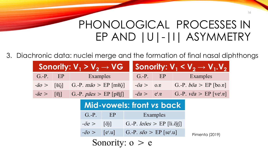Pimenta (2019)

3. Diachronic data: nuclei merge and the formation of final nasal diphthongs

|                            | Sonority: $V_1 > V_2 \rightarrow V$ G                     |                        | Sonority: $V_1 < V_2 \rightarrow V_1.V_2$     |
|----------------------------|-----------------------------------------------------------|------------------------|-----------------------------------------------|
|                            | G.-P. EP Examples                                         |                        | G.-P. EP Examples                             |
|                            | $-\tilde{a}o > [$ [ɐ̃õ̯] G.-P. $m\tilde{a}o > EP$ [mɐ̃õ̯] | $-\tilde{0}a > 0.8$    | G.-P. $b\tilde{o}a > EP$ [bo.g]               |
| $-\tilde{a}e > [\tilde{v}$ | G.-P. $p\tilde{a}es$ > EP [p $\tilde{e}$ ]                | $-\tilde{e}a > e^{I}e$ | G.-P. $v\tilde{e}a > EP$ [ve <sup>r</sup> .e] |
|                            |                                                           |                        |                                               |

#### **Mid-vowels: front** *vs* **back**

| $G.-P.$              | EP                                   | Examples                                      |
|----------------------|--------------------------------------|-----------------------------------------------|
| $-\tilde{0}e$ >      | $\lceil \widetilde{\text{O}} \rceil$ | G.-P. $le\tilde{o}es$ > EP [li.õis]           |
| $-\tilde{\theta}0$ > | $ e^{\mathrm{I}}.u $                 | G.-P. $s\tilde{e}o > EP$ [se <sup>r</sup> .u] |

Sonority:  $o > e$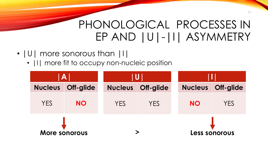- IUI more sonorous than III
	- $|1|$  more fit to occupy non-nucleic position

| $\vert A \vert$ |               |                | U          |  |                |                      |  |  |
|-----------------|---------------|----------------|------------|--|----------------|----------------------|--|--|
| <b>Nucleus</b>  | Off-glide     | <b>Nucleus</b> | Off-glide  |  | <b>Nucleus</b> | <b>Off-glide</b>     |  |  |
| <b>YES</b>      | <b>NO</b>     | <b>YES</b>     | <b>YES</b> |  | <b>NO</b>      | <b>YES</b>           |  |  |
|                 | More sonorous |                |            |  |                | <b>Less sonorous</b> |  |  |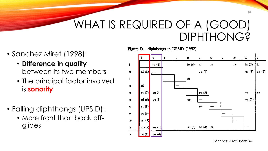#### WHAT IS REQUIRED OF A (GOOD) DIPHTHONG?

Figure D1. diphthongs in UPSID (1992).

- Sánchez Miret (1998):
	- **Difference in quality**  between its two members
	- The principal factor involved is **sonority**
- Falling diphthongs (UPSID):
	- More front than back offglides



Sánchez Miret (1998: 34)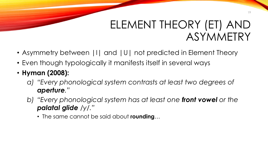#### ELEMENT THEORY (ET) AND ASYMMETRY

- Asymmetry between | I | and | U | not predicted in Element Theory
- Even though typologically it manifests itself in several ways
- **Hyman (2008):** 
	- *a) "Every phonological system contrasts at least two degrees of aperture."*
	- *b) "Every phonological system has at least one front vowel or the palatal glide /y/."*
		- The same cannot be said about **rounding**…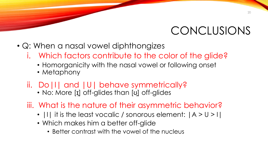#### CONCLUSIONS

- Q: When a nasal vowel diphthongizes
	- i. Which factors contribute to the color of the glide?
		- Homorganicity with the nasal vowel or following onset
		- Metaphony
	- ii. Do|I| and |U| behave symmetrically?
		- No: More [I] off-glides than [u] off-glides
	- iii. What is the nature of their asymmetric behavior?
		- | I | it is the least vocalic / sonorous element:  $|A > U > I|$
		- Which makes him a better off-glide
			- Better contrast with the vowel of the nucleus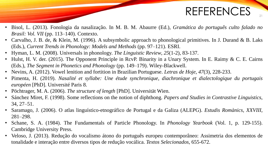#### REFERENCES

- Bisol, L. (2013). Fonologia da nasalização. In M. B. M. Abaurre (Ed.), *Gramática do português culto falado no Brasil: Vol. VII* (pp. 113–140). Contexto.
- Carvalho, J. B. de, & Klein, M. (1996). A subsymbolic approach to phonological primitives. In J. Durand & B. Laks (Eds.), *Current Trends in Phonology: Models and Methods* (pp. 97–121). ESRI.
- Hyman, L. M. (2008). Universals in phonology. *The Linguistic Review*, *25*(1-2), 83-137.
- Hulst, H. V. der. (2015). The Opponent Principle in RcvP. Binarity in a Unary System. In E. Raimy & C. E. Cairns (Eds.), *The Segment in Phonetics and Phonology* (pp. 149–179). Wiley-Blackwell.
- Nevins, A. (2012). Vowel lenition and fortition in Brazilian Portuguese. *Letras de Hoje*, *47*(3), 228-233.
- Pimenta, H. (2019). *Nasalité et syllabe: Une étude synchronique, diachronique et dialectologique du portugais européen* [PhD]. Université Paris 8.
- Pöchtrager, M. A. (2006). *The structure of length* [PhD]. Universität Wien.
- Sánchez Miret, F. (1998). Some reflections on the notion of diphthong. *Papers and Studies in Contrastive Linguistics*, 34, 27–51.
- Saramago, J. (2006). O atlas linguístico-etnográfico de Portugal e da Galiza (ALEPG). *Estudis Romànics*, *XXVIII*, 281–298.
- Schane, S. A. (1984). The Fundamentals of Particle Phonology. In *Phonology Yearbook* (Vol. 1, p. 129-155). Cambridge University Press.
- Veloso, J. (2013). Redução do vocalismo átono do português europeu contemporâneo: Assimetria dos elementos de tonalidade e interação entre diversos tipos de redução vocálica. *Textos Selecionados*, 655-672.